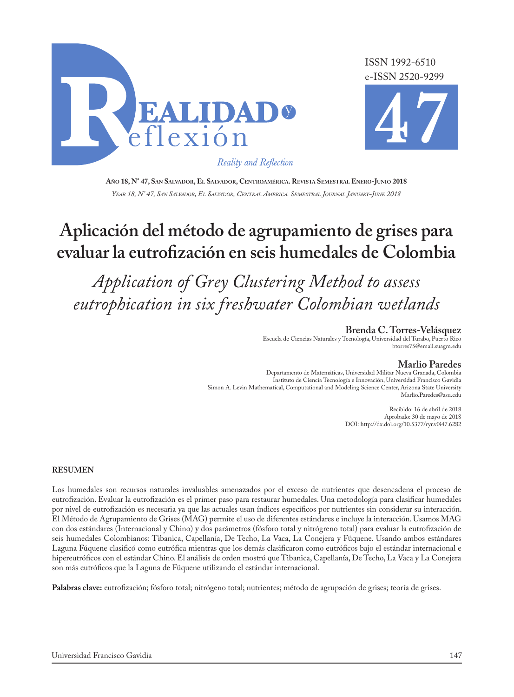

ISSN 1992-6510 e-ISSN 2520-9299



Reality and Reflection

**Año 18, N° 47, San Salvador, El Salvador, Centroamérica. Revista Semestral Enero-Junio 2018** *Year 18, N° 47, San Salvador, El Salvador, Central America. Semestral Journal January-June 2018*

# **Aplicación del método de agrupamiento de grises para evaluar la eutrofización en seis humedales de Colombia**

*Application of Grey Clustering Method to assess eutrophication in six freshwater Colombian wetlands*

> **Brenda C. Torres-Velásquez** Escuela de Ciencias Naturales y Tecnología, Universidad del Turabo, Puerto Rico btorres75@email.suagm.edu

#### **Marlio Paredes**

Departamento de Matemáticas, Universidad Militar Nueva Granada, Colombia Instituto de Ciencia Tecnología e Innovación, Universidad Francisco Gavidia Simon A. Levin Mathematical, Computational and Modeling Science Center, Arizona State University Marlio.Paredes@asu.edu

> Recibido: 16 de abril de 2018 Aprobado: 30 de mayo de 2018 DOI: http://dx.doi.org/10.5377/ryr.v0i47.6282

#### **RESUMEN**

Los humedales son recursos naturales invaluables amenazados por el exceso de nutrientes que desencadena el proceso de eutrofización. Evaluar la eutrofización es el primer paso para restaurar humedales. Una metodología para clasificar humedales por nivel de eutrofización es necesaria ya que las actuales usan índices específicos por nutrientes sin considerar su interacción. El Método de Agrupamiento de Grises (MAG) permite el uso de diferentes estándares e incluye la interacción. Usamos MAG con dos estándares (Internacional y Chino) y dos parámetros (fósforo total y nitrógreno total) para evaluar la eutrofización de seis humedales Colombianos: Tibanica, Capellanía, De Techo, La Vaca, La Conejera y Fúquene. Usando ambos estándares Laguna Fúquene clasificó como eutrófica mientras que los demás clasificaron como eutróficos bajo el estándar internacional e hipereutróficos con el estándar Chino. El análisis de orden mostró que Tibanica, Capellanía, De Techo, La Vaca y La Conejera son más eutróficos que la Laguna de Fúquene utilizando el estándar internacional.

Palabras clave: eutrofización; fósforo total; nitrógeno total; nutrientes; método de agrupación de grises; teoría de grises.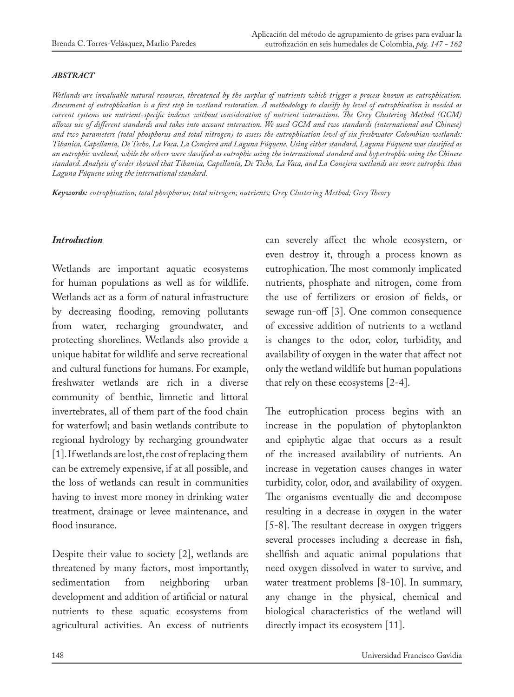#### *ABSTRACT*

*Wetlands are invaluable natural resources, threatened by the surplus of nutrients which trigger a process known as eutrophication. Assessment of eutrophication is a first step in wetland restoration. A methodology to classify by level of eutrophication is needed as current systems use nutrient-specific indexes without consideration of nutrient interactions. The Grey Clustering Method (GCM) allows use of different standards and takes into account interaction. We used GCM and two standards (international and Chinese) and two parameters (total phosphorus and total nitrogen) to assess the eutrophication level of six freshwater Colombian wetlands: Tibanica, Capellanía, De Techo, La Vaca, La Conejera and Laguna Fúquene. Using either standard, Laguna Fúquene was classified as an eutrophic wetland, while the others were classified as eutrophic using the international standard and hypertrophic using the Chinese standard. Analysis of order showed that Tibanica, Capellanía, De Techo, La Vaca, and La Conejera wetlands are more eutrophic than Laguna Fúquene using the international standard.*

*Keywords: eutrophication; total phosphorus; total nitrogen; nutrients; Grey Clustering Method; Grey Theory*

#### *Introduction*

Wetlands are important aquatic ecosystems for human populations as well as for wildlife. Wetlands act as a form of natural infrastructure by decreasing flooding, removing pollutants from water, recharging groundwater, and protecting shorelines. Wetlands also provide a unique habitat for wildlife and serve recreational and cultural functions for humans. For example, freshwater wetlands are rich in a diverse community of benthic, limnetic and littoral invertebrates, all of them part of the food chain for waterfowl; and basin wetlands contribute to regional hydrology by recharging groundwater [1]. If wetlands are lost, the cost of replacing them can be extremely expensive, if at all possible, and the loss of wetlands can result in communities having to invest more money in drinking water treatment, drainage or levee maintenance, and flood insurance.

Despite their value to society [2], wetlands are threatened by many factors, most importantly, sedimentation from neighboring urban development and addition of artificial or natural nutrients to these aquatic ecosystems from agricultural activities. An excess of nutrients

can severely affect the whole ecosystem, or even destroy it, through a process known as eutrophication. The most commonly implicated nutrients, phosphate and nitrogen, come from the use of fertilizers or erosion of fields, or sewage run-off [3]. One common consequence of excessive addition of nutrients to a wetland is changes to the odor, color, turbidity, and availability of oxygen in the water that affect not only the wetland wildlife but human populations that rely on these ecosystems [2-4].

The eutrophication process begins with an increase in the population of phytoplankton and epiphytic algae that occurs as a result of the increased availability of nutrients. An increase in vegetation causes changes in water turbidity, color, odor, and availability of oxygen. The organisms eventually die and decompose resulting in a decrease in oxygen in the water [5-8]. The resultant decrease in oxygen triggers several processes including a decrease in fish, shellfish and aquatic animal populations that need oxygen dissolved in water to survive, and water treatment problems [8-10]. In summary, any change in the physical, chemical and biological characteristics of the wetland will directly impact its ecosystem [11].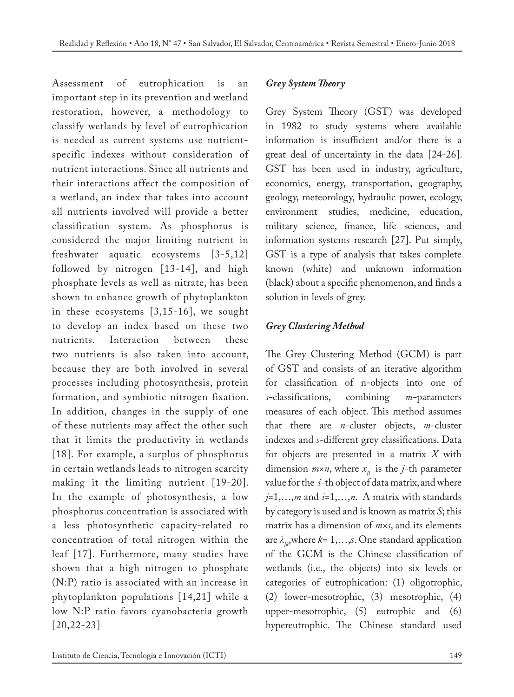Assessment of eutrophication is an important step in its prevention and wetland restoration, however, a methodology to classify wetlands by level of eutrophication is needed as current systems use nutrientspecific indexes without consideration of nutrient interactions. Since all nutrients and their interactions affect the composition of a wetland, an index that takes into account all nutrients involved will provide a better classification system. As phosphorus is considered the major limiting nutrient in freshwater aquatic ecosystems [3-5,12] followed by nitrogen [13-14], and high phosphate levels as well as nitrate, has been shown to enhance growth of phytoplankton in these ecosystems [3,15-16], we sought to develop an index based on these two nutrients. Interaction between these two nutrients is also taken into account, because they are both involved in several processes including photosynthesis, protein formation, and symbiotic nitrogen fixation. In addition, changes in the supply of one of these nutrients may affect the other such that it limits the productivity in wetlands [18]. For example, a surplus of phosphorus in certain wetlands leads to nitrogen scarcity making it the limiting nutrient [19-20]. In the example of photosynthesis, a low phosphorus concentration is associated with a less photosynthetic capacity-related to concentration of total nitrogen within the leaf [17]. Furthermore, many studies have shown that a high nitrogen to phosphate (N:P) ratio is associated with an increase in phytoplankton populations [14,21] while a low N:P ratio favors cyanobacteria growth [20,22-23]

## *Grey System Theory*

Grey System Theory (GST) was developed in 1982 to study systems where available information is insufficient and/or there is a great deal of uncertainty in the data [24-26]. GST has been used in industry, agriculture, economics, energy, transportation, geography, geology, meteorology, hydraulic power, ecology, environment studies, medicine, education, military science, finance, life sciences, and information systems research [27]. Put simply, GST is a type of analysis that takes complete known (white) and unknown information (black) about a specific phenomenon, and finds a solution in levels of grey.

# *Grey Clustering Method*

The Grey Clustering Method (GCM) is part of GST and consists of an iterative algorithm for classification of n-objects into one of *s-*classifications, combining *m-*parameters measures of each object. This method assumes that there are *n-*cluster objects, *m-*cluster indexes and *s-*different grey classifications. Data for objects are presented in a matrix *X* with dimension  $m \times n$ , where  $x_{ij}$  is the *j*-th parameter value for the *i-*th object of data matrix, and where *j*=1,…,*m* and *i*=1,…,*n*. A matrix with standards by category is used and is known as matrix *S*; this matrix has a dimension of *m×s*, and its elements are  $\lambda_{ik}$ , where  $k=1,\ldots,s$ . One standard application of the GCM is the Chinese classification of wetlands (i.e., the objects) into six levels or categories of eutrophication: (1) oligotrophic, (2) lower-mesotrophic, (3) mesotrophic, (4) upper-mesotrophic, (5) eutrophic and (6) hypereutrophic. The Chinese standard used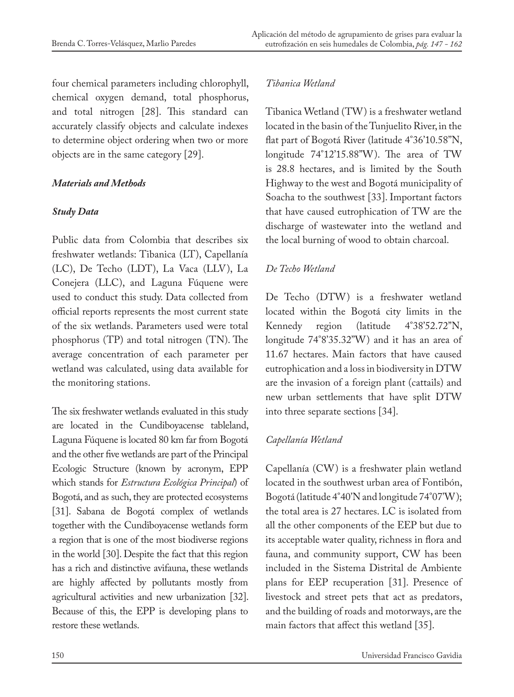four chemical parameters including chlorophyll, chemical oxygen demand, total phosphorus, and total nitrogen [28]. This standard can accurately classify objects and calculate indexes to determine object ordering when two or more objects are in the same category [29].

#### *Materials and Methods*

## *Study Data*

Public data from Colombia that describes six freshwater wetlands: Tibanica (LT), Capellanía (LC), De Techo (LDT), La Vaca (LLV), La Conejera (LLC), and Laguna Fúquene were used to conduct this study. Data collected from official reports represents the most current state of the six wetlands. Parameters used were total phosphorus (TP) and total nitrogen (TN). The average concentration of each parameter per wetland was calculated, using data available for the monitoring stations.

The six freshwater wetlands evaluated in this study are located in the Cundiboyacense tableland, Laguna Fúquene is located 80 km far from Bogotá and the other five wetlands are part of the Principal Ecologic Structure (known by acronym, EPP which stands for *Estructura Ecológica Principal*) of Bogotá, and as such, they are protected ecosystems [31]. Sabana de Bogotá complex of wetlands together with the Cundiboyacense wetlands form a region that is one of the most biodiverse regions in the world [30]. Despite the fact that this region has a rich and distinctive avifauna, these wetlands are highly affected by pollutants mostly from agricultural activities and new urbanization [32]. Because of this, the EPP is developing plans to restore these wetlands.

## *Tibanica Wetland*

Tibanica Wetland (TW) is a freshwater wetland located in the basin of the Tunjuelito River, in the flat part of Bogotá River (latitude 4°36'10.58''N, longitude 74°12'15.88''W). The area of TW is 28.8 hectares, and is limited by the South Highway to the west and Bogotá municipality of Soacha to the southwest [33]. Important factors that have caused eutrophication of TW are the discharge of wastewater into the wetland and the local burning of wood to obtain charcoal.

# *De Techo Wetland*

De Techo (DTW) is a freshwater wetland located within the Bogotá city limits in the Kennedy region (latitude 4°38'52.72"N, longitude 74°8'35.32''W) and it has an area of 11.67 hectares. Main factors that have caused eutrophication and a loss in biodiversity in DTW are the invasion of a foreign plant (cattails) and new urban settlements that have split DTW into three separate sections [34].

# *Capellanía Wetland*

Capellanía (CW) is a freshwater plain wetland located in the southwest urban area of Fontibón, Bogotá (latitude 4°40'N and longitude 74°07'W); the total area is 27 hectares. LC is isolated from all the other components of the EEP but due to its acceptable water quality, richness in flora and fauna, and community support, CW has been included in the Sistema Distrital de Ambiente plans for EEP recuperation [31]. Presence of livestock and street pets that act as predators, and the building of roads and motorways, are the main factors that affect this wetland [35].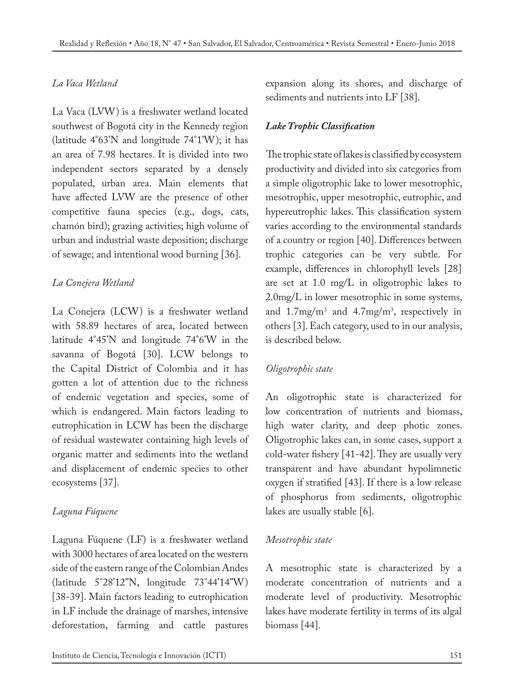## *La Vaca Wetland*

La Vaca (LVW) is a freshwater wetland located southwest of Bogotá city in the Kennedy region (latitude 4°63'N and longitude 74°1'W); it has an area of 7.98 hectares. It is divided into two independent sectors separated by a densely populated, urban area. Main elements that have affected LVW are the presence of other competitive fauna species (e.g., dogs, cats, chamón bird); grazing activities; high volume of urban and industrial waste deposition; discharge of sewage; and intentional wood burning [36].

# *La Conejera Wetland*

La Conejera (LCW) is a freshwater wetland with 58.89 hectares of area, located between latitude 4°45'N and longitude 74°6'W in the savanna of Bogotá [30]. LCW belongs to the Capital District of Colombia and it has gotten a lot of attention due to the richness of endemic vegetation and species, some of which is endangered. Main factors leading to eutrophication in LCW has been the discharge of residual wastewater containing high levels of organic matter and sediments into the wetland and displacement of endemic species to other ecosystems [37].

# *Laguna Fúquene*

Laguna Fúquene (LF) is a freshwater wetland with 3000 hectares of area located on the western side of the eastern range of the Colombian Andes (latitude 5°28'12''N, longitude 73°44'14''W) [38-39]. Main factors leading to eutrophication in LF include the drainage of marshes, intensive deforestation, farming and cattle pastures

expansion along its shores, and discharge of sediments and nutrients into LF [38].

#### *Lake Trophic Classification*

 The trophic state of lakes is classified by ecosystem productivity and divided into six categories from a simple oligotrophic lake to lower mesotrophic, mesotrophic, upper mesotrophic, eutrophic, and hypereutrophic lakes. This classification system varies according to the environmental standards of a country or region [40]. Differences between trophic categories can be very subtle. For example, differences in chlorophyll levels [28] are set at 1.0 mg/L in oligotrophic lakes to 2.0mg/L in lower mesotrophic in some systems, and 1.7mg/m3 and 4.7mg/m3 , respectively in others [3]. Each category, used to in our analysis, is described below.

#### *Oligotrophic state*

An oligotrophic state is characterized for low concentration of nutrients and biomass, high water clarity, and deep photic zones. Oligotrophic lakes can, in some cases, support a cold-water fishery [41-42]. They are usually very transparent and have abundant hypolimnetic oxygen if stratified [43]. If there is a low release of phosphorus from sediments, oligotrophic lakes are usually stable [6].

#### *Mesotrophic state*

A mesotrophic state is characterized by a moderate concentration of nutrients and a moderate level of productivity. Mesotrophic lakes have moderate fertility in terms of its algal biomass [44].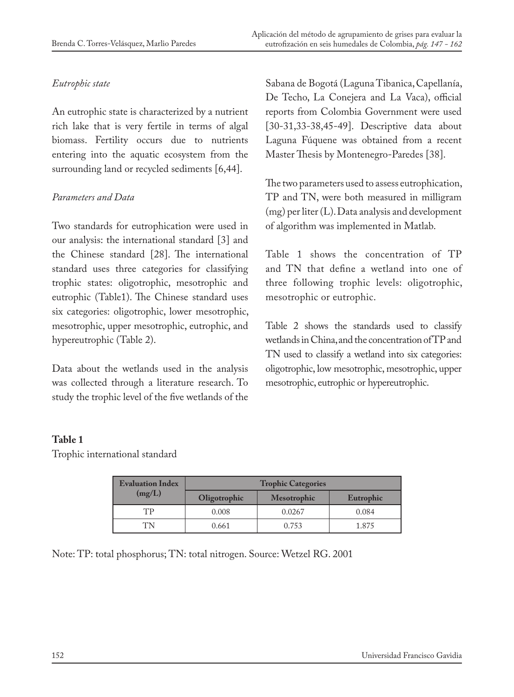#### *Eutrophic state*

An eutrophic state is characterized by a nutrient rich lake that is very fertile in terms of algal biomass. Fertility occurs due to nutrients entering into the aquatic ecosystem from the surrounding land or recycled sediments [6,44].

## *Parameters and Data*

Two standards for eutrophication were used in our analysis: the international standard [3] and the Chinese standard [28]. The international standard uses three categories for classifying trophic states: oligotrophic, mesotrophic and eutrophic (Table1). The Chinese standard uses six categories: oligotrophic, lower mesotrophic, mesotrophic, upper mesotrophic, eutrophic, and hypereutrophic (Table 2).

Data about the wetlands used in the analysis was collected through a literature research. To study the trophic level of the five wetlands of the Sabana de Bogotá (Laguna Tibanica, Capellanía, De Techo, La Conejera and La Vaca), official reports from Colombia Government were used [30-31,33-38,45-49]. Descriptive data about Laguna Fúquene was obtained from a recent Master Thesis by Montenegro-Paredes [38].

The two parameters used to assess eutrophication, TP and TN, were both measured in milligram (mg) per liter (L). Data analysis and development of algorithm was implemented in Matlab.

Table 1 shows the concentration of TP and TN that define a wetland into one of three following trophic levels: oligotrophic, mesotrophic or eutrophic.

Table 2 shows the standards used to classify wetlands in China, and the concentration of TP and TN used to classify a wetland into six categories: oligotrophic, low mesotrophic, mesotrophic, upper mesotrophic, eutrophic or hypereutrophic.

# **Table 1**

Trophic international standard

| <b>Evaluation Index</b><br>(mg/L) | <b>Trophic Categories</b> |                    |           |  |  |  |
|-----------------------------------|---------------------------|--------------------|-----------|--|--|--|
|                                   | Oligotrophic              | <b>Mesotrophic</b> | Eutrophic |  |  |  |
| TD                                | 0.008                     | 0.0267             | 0.084     |  |  |  |
| T'N                               | 0.661                     | 0.753              | 1.875     |  |  |  |

Note: TP: total phosphorus; TN: total nitrogen. Source: Wetzel RG. 2001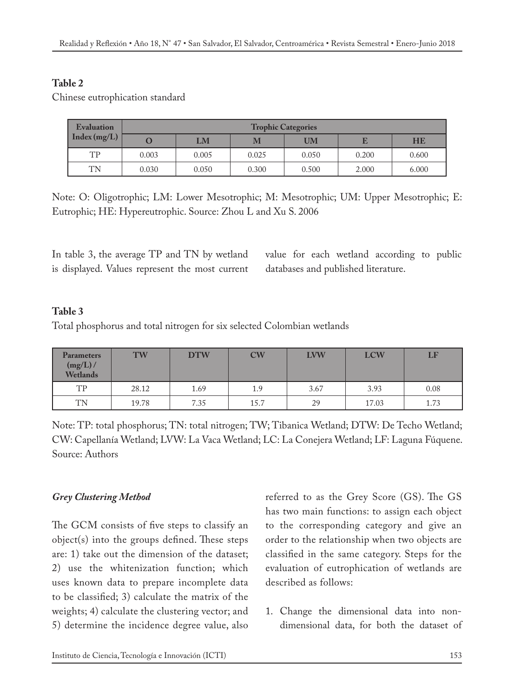## **Table 2**

Chinese eutrophication standard

| Evaluation | <b>Trophic Categories</b> |       |       |       |       |       |  |
|------------|---------------------------|-------|-------|-------|-------|-------|--|
|            |                           | LM    | M     | UM    |       | HE    |  |
| TP         | 0.003                     | 0.005 | 0.025 | 0.050 | 0.200 | 0.600 |  |
| TN         | 0.030                     | 0.050 | 0.300 | 0.500 | 2.000 | 6.000 |  |

Note: O: Oligotrophic; LM: Lower Mesotrophic; M: Mesotrophic; UM: Upper Mesotrophic; E: Eutrophic; HE: Hypereutrophic. Source: Zhou L and Xu S. 2006

In table 3, the average TP and TN by wetland is displayed. Values represent the most current value for each wetland according to public databases and published literature.

## **Table 3**

Total phosphorus and total nitrogen for six selected Colombian wetlands

| <b>Parameters</b><br>$(mg/L)$ /<br>Wetlands | <b>TW</b> | <b>DTW</b> | $\mathbf{CW}$ | <b>LVW</b> | <b>LCW</b> | LF   |
|---------------------------------------------|-----------|------------|---------------|------------|------------|------|
| TP                                          | 28.12     | 1.69       | 1.9           | 3.67       | 3.93       | 0.08 |
| <b>TN</b>                                   | 19.78     | 7.35       | 15.7          | 29         | 17.03      | 1.73 |

Note: TP: total phosphorus; TN: total nitrogen; TW; Tibanica Wetland; DTW: De Techo Wetland; CW: Capellanía Wetland; LVW: La Vaca Wetland; LC: La Conejera Wetland; LF: Laguna Fúquene. Source: Authors

# *Grey Clustering Method*

The GCM consists of five steps to classify an object(s) into the groups defined. These steps are: 1) take out the dimension of the dataset; 2) use the whitenization function; which uses known data to prepare incomplete data to be classified; 3) calculate the matrix of the weights; 4) calculate the clustering vector; and 5) determine the incidence degree value, also

referred to as the Grey Score (GS). The GS has two main functions: to assign each object to the corresponding category and give an order to the relationship when two objects are classified in the same category. Steps for the evaluation of eutrophication of wetlands are described as follows:

1. Change the dimensional data into nondimensional data, for both the dataset of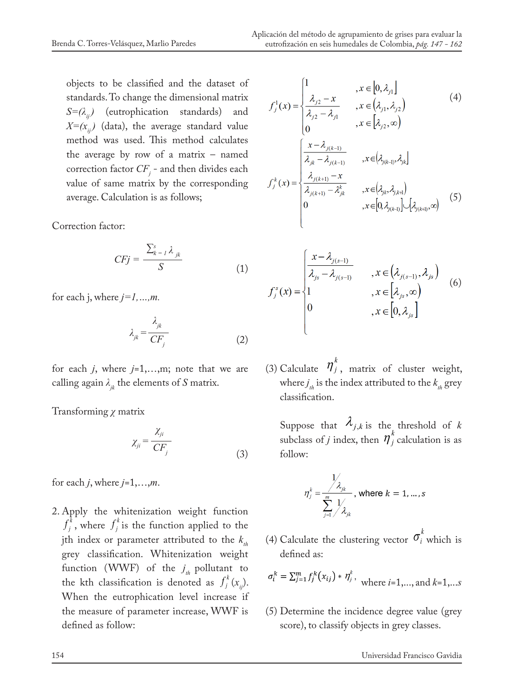objects to be classified and the dataset of standards. To change the dimensional matrix *S=(λij)* (eutrophication standards) and  $X=(x_{ij})$  (data), the average standard value method was used. This method calculates the average by row of a matrix – named correction factor  $CF_j$  - and then divides each value of same matrix by the corresponding average. Calculation is as follows;

Correction factor:

$$
CFj = \frac{\sum_{k=1}^{s} \lambda_{jk}}{S}
$$
 (1)

for each j, where *j=1,…,m.*

$$
\lambda_{jk} = \frac{\lambda_{jk}}{CF_j} \tag{2}
$$

for each *j*, where *j*=1,…,m; note that we are calling again  $\lambda_{ik}$  the elements of *S* matrix.

Transforming *χ* matrix

$$
\chi_{ji} = \frac{\chi_{ji}}{CF_j} \tag{3}
$$

for each *j*, where *j*=1,…,*m*.

2. Apply the whitenization weight function  $f_j^k$ , where  $f_j^k$  is the function applied to the jth index or parameter attributed to the  $k_{th}$ grey classification. Whitenization weight function (WWF) of the  $j_{th}$  pollutant to the kth classification is denoted as  $f_j^k(x_{ij})$ . When the eutrophication level increase if the measure of parameter increase, WWF is defined as follow:

Aplicación del método de agrupamiento de grises para evaluar la eutrofización en seis humedales de Colombia, *pág. 147 - 162*

 $\epsilon$ 

$$
f_j^1(x) = \begin{cases} 1, & x \in [0, \lambda_{j1}] \\ \frac{\lambda_{j2} - x}{\lambda_{j2} - \lambda_{j1}}, & x \in (\lambda_{j1}, \lambda_{j2}) \\ 0, & x \in [\lambda_{j2}, \infty) \end{cases}
$$
(4)  

$$
f_j^k(x) = \begin{cases} \frac{x - \lambda_{j(k-1)}}{\lambda_{jk} - \lambda_{j(k-1)}} & x \in (\lambda_{j(k-1)}, \lambda_{jk}] \\ \frac{\lambda_{j(k+1)} - x}{\lambda_{j(k+1)} - \lambda_{jk}^k}, & x \in (\lambda_{jk}, \lambda_{j,k+1}) \\ 0, & x \in [\lambda_{j(k+1)}, \infty) \end{cases}
$$
(5)

$$
f_j^s(x) = \begin{cases} \frac{x - \lambda_{j(s-1)}}{\lambda_{js} - \lambda_{j(s-1)}} & , x \in (\lambda_{j(s-1)}, \lambda_{js}) \\ 1 & , x \in [\lambda_{js}, \infty) \\ 0 & , x \in [0, \lambda_{js}] \end{cases}
$$
 (6)

(3) Calculate  $\eta_j^k$ , matrix of cluster weight, where  $j_{th}$  is the index attributed to the  $k_{th}$  grey classification.

Suppose that  $\lambda_{j,k}$  is the threshold of *k* subclass of *j* index, then  $\eta_j^k$  calculation is as follow:

$$
\eta_j^k = \frac{\frac{1}{\lambda_{jk}}}{\sum_{j=1}^m \frac{1}{\lambda_{jk}}}, \text{ where } k = 1, \dots, s
$$

(4) Calculate the clustering vector  $\sigma_i^k$  which is defined as:

$$
\sigma_i^k = \sum_{j=1}^m f_j^k(x_{ij}) \ast \eta_j^k, \text{ where } i = 1, ..., \text{ and } k = 1, ...s
$$

(5) Determine the incidence degree value (grey score), to classify objects in grey classes.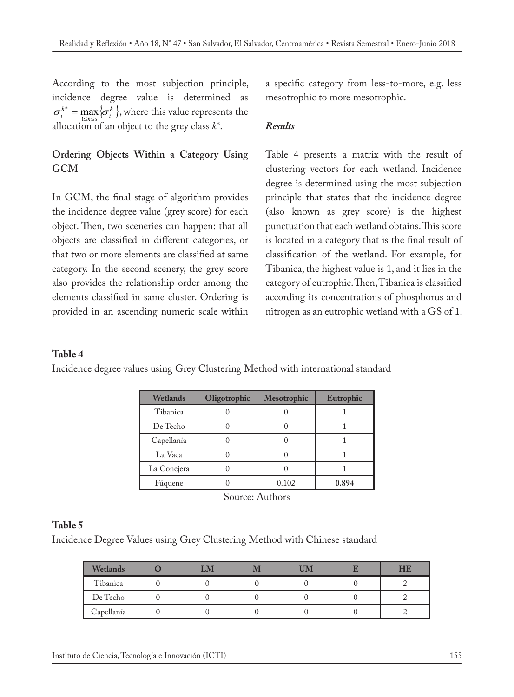According to the most subjection principle, incidence degree value is determined as  ${\sigma_i^{k}}^* = \max_{1 \le k \le s} {\sigma_i^{k}}$ , where this value represents the allocation of an object to the grey class *k*\*.

# **Ordering Objects Within a Category Using GCM**

In GCM, the final stage of algorithm provides the incidence degree value (grey score) for each object. Then, two sceneries can happen: that all objects are classified in different categories, or that two or more elements are classified at same category. In the second scenery, the grey score also provides the relationship order among the elements classified in same cluster. Ordering is provided in an ascending numeric scale within

a specific category from less-to-more, e.g. less mesotrophic to more mesotrophic.

#### *Results*

Table 4 presents a matrix with the result of clustering vectors for each wetland. Incidence degree is determined using the most subjection principle that states that the incidence degree (also known as grey score) is the highest punctuation that each wetland obtains. This score is located in a category that is the final result of classification of the wetland. For example, for Tibanica, the highest value is 1, and it lies in the category of eutrophic. Then, Tibanica is classified according its concentrations of phosphorus and nitrogen as an eutrophic wetland with a GS of 1.

#### **Table 4**

Incidence degree values using Grey Clustering Method with international standard

| Wetlands    | Oligotrophic | <b>Mesotrophic</b> | Eutrophic |
|-------------|--------------|--------------------|-----------|
| Tibanica    |              |                    |           |
| De Techo    |              |                    |           |
| Capellanía  |              |                    |           |
| La Vaca     |              |                    |           |
| La Conejera |              |                    |           |
| Fúquene     |              | 0.102              | 0.894     |

Source: Authors

#### **Table 5**

Incidence Degree Values using Grey Clustering Method with Chinese standard

| Wetlands   | LM | <b>UM</b> | HB |
|------------|----|-----------|----|
| Tibanica   |    |           |    |
| De Techo   |    |           |    |
| Capellanía |    |           |    |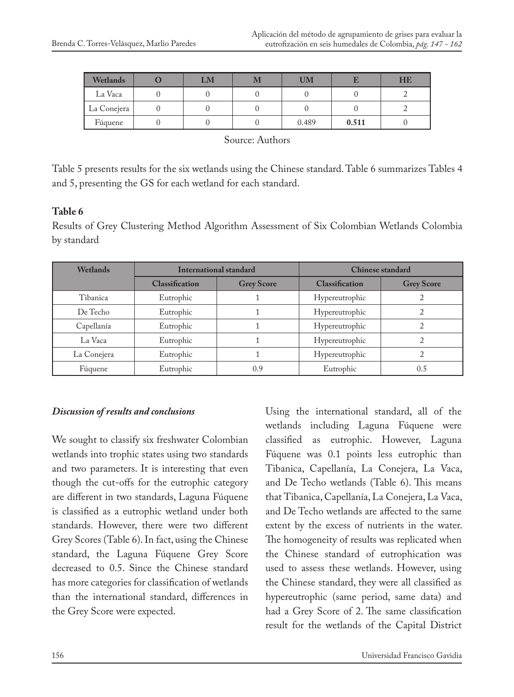| Wetlands    | LM | <b>UM</b> |       | HE |
|-------------|----|-----------|-------|----|
| La Vaca     |    |           |       |    |
| La Conejera |    |           |       |    |
| Fúquene     |    | 0.489     | 0.511 |    |

Source: Authors

Table 5 presents results for the six wetlands using the Chinese standard. Table 6 summarizes Tables 4 and 5, presenting the GS for each wetland for each standard.

## **Table 6**

Results of Grey Clustering Method Algorithm Assessment of Six Colombian Wetlands Colombia by standard

| <b>Wetlands</b> | International standard |                   | <b>Chinese standard</b> |                   |  |
|-----------------|------------------------|-------------------|-------------------------|-------------------|--|
|                 | <b>Classification</b>  | <b>Grey Score</b> | <b>Classification</b>   | <b>Grey Score</b> |  |
| Tibanica        | Eutrophic              |                   | Hypereutrophic          |                   |  |
| De Techo        | Eutrophic              |                   | Hypereutrophic          |                   |  |
| Capellanía      | Eutrophic              |                   | Hypereutrophic          |                   |  |
| La Vaca         | Eutrophic              |                   | Hypereutrophic          |                   |  |
| La Conejera     | Eutrophic              |                   | Hypereutrophic          |                   |  |
| Fúquene         | Eutrophic              | 0.9               | Eutrophic               | 0.5               |  |

#### *Discussion of results and conclusions*

We sought to classify six freshwater Colombian wetlands into trophic states using two standards and two parameters. It is interesting that even though the cut-offs for the eutrophic category are different in two standards, Laguna Fúquene is classified as a eutrophic wetland under both standards. However, there were two different Grey Scores (Table 6). In fact, using the Chinese standard, the Laguna Fúquene Grey Score decreased to 0.5. Since the Chinese standard has more categories for classification of wetlands than the international standard, differences in the Grey Score were expected.

Using the international standard, all of the wetlands including Laguna Fúquene were classified as eutrophic. However, Laguna Fúquene was 0.1 points less eutrophic than Tibanica, Capellanía, La Conejera, La Vaca, and De Techo wetlands (Table 6). This means that Tibanica, Capellanía, La Conejera, La Vaca, and De Techo wetlands are affected to the same extent by the excess of nutrients in the water. The homogeneity of results was replicated when the Chinese standard of eutrophication was used to assess these wetlands. However, using the Chinese standard, they were all classified as hypereutrophic (same period, same data) and had a Grey Score of 2. The same classification result for the wetlands of the Capital District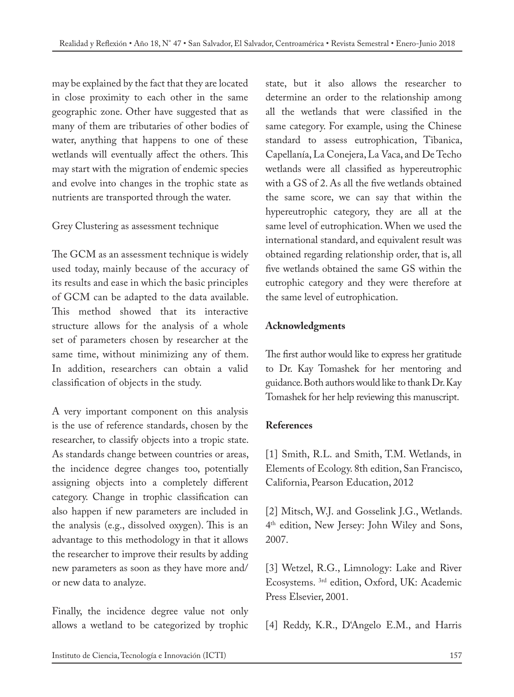may be explained by the fact that they are located in close proximity to each other in the same geographic zone. Other have suggested that as many of them are tributaries of other bodies of water, anything that happens to one of these wetlands will eventually affect the others. This may start with the migration of endemic species and evolve into changes in the trophic state as nutrients are transported through the water.

# Grey Clustering as assessment technique

The GCM as an assessment technique is widely used today, mainly because of the accuracy of its results and ease in which the basic principles of GCM can be adapted to the data available. This method showed that its interactive structure allows for the analysis of a whole set of parameters chosen by researcher at the same time, without minimizing any of them. In addition, researchers can obtain a valid classification of objects in the study.

A very important component on this analysis is the use of reference standards, chosen by the researcher, to classify objects into a tropic state. As standards change between countries or areas, the incidence degree changes too, potentially assigning objects into a completely different category. Change in trophic classification can also happen if new parameters are included in the analysis (e.g., dissolved oxygen). This is an advantage to this methodology in that it allows the researcher to improve their results by adding new parameters as soon as they have more and/ or new data to analyze.

Finally, the incidence degree value not only allows a wetland to be categorized by trophic state, but it also allows the researcher to determine an order to the relationship among all the wetlands that were classified in the same category. For example, using the Chinese standard to assess eutrophication, Tibanica, Capellanía, La Conejera, La Vaca, and De Techo wetlands were all classified as hypereutrophic with a GS of 2. As all the five wetlands obtained the same score, we can say that within the hypereutrophic category, they are all at the same level of eutrophication. When we used the international standard, and equivalent result was obtained regarding relationship order, that is, all five wetlands obtained the same GS within the eutrophic category and they were therefore at the same level of eutrophication.

# **Acknowledgments**

The first author would like to express her gratitude to Dr. Kay Tomashek for her mentoring and guidance. Both authors would like to thank Dr. Kay Tomashek for her help reviewing this manuscript.

# **References**

[1] Smith, R.L. and Smith, T.M. Wetlands, in Elements of Ecology. 8th edition, San Francisco, California, Pearson Education, 2012

[2] Mitsch, W.J. and Gosselink J.G., Wetlands. 4th edition, New Jersey: John Wiley and Sons, 2007.

[3] Wetzel, R.G., Limnology: Lake and River Ecosystems. 3rd edition, Oxford, UK: Academic Press Elsevier, 2001.

[4] Reddy, K.R., D'Angelo E.M., and Harris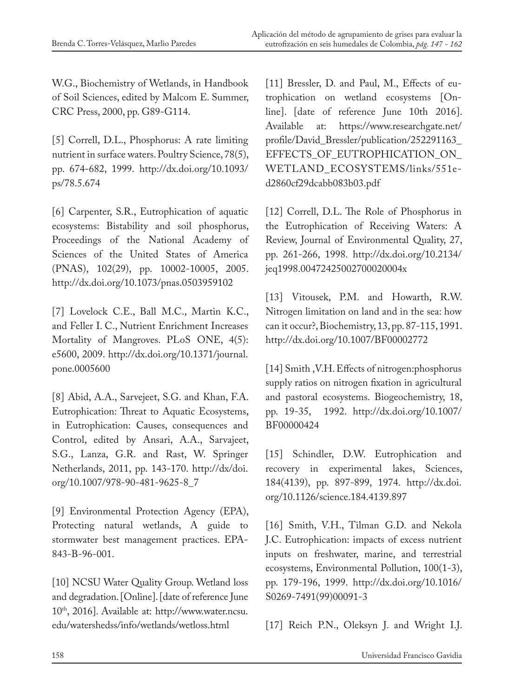W.G., Biochemistry of Wetlands, in Handbook of Soil Sciences, edited by Malcom E. Summer, CRC Press, 2000, pp. G89-G114.

[5] Correll, D.L., Phosphorus: A rate limiting nutrient in surface waters. Poultry Science, 78(5), pp. 674-682, 1999. http://dx.doi.org/10.1093/ ps/78.5.674

[6] Carpenter, S.R., Eutrophication of aquatic ecosystems: Bistability and soil phosphorus, Proceedings of the National Academy of Sciences of the United States of America (PNAS), 102(29), pp. 10002-10005, 2005. http://dx.doi.org/10.1073/pnas.0503959102

[7] Lovelock C.E., Ball M.C., Martin K.C., and Feller I. C., Nutrient Enrichment Increases Mortality of Mangroves. PLoS ONE, 4(5): e5600, 2009. http://dx.doi.org/10.1371/journal. pone.0005600

[8] Abid, A.A., Sarvejeet, S.G. and Khan, F.A. Eutrophication: Threat to Aquatic Ecosystems, in Eutrophication: Causes, consequences and Control, edited by Ansari, A.A., Sarvajeet, S.G., Lanza, G.R. and Rast, W. Springer Netherlands, 2011, pp. 143-170. http://dx/doi. org/10.1007/978-90-481-9625-8\_7

[9] Environmental Protection Agency (EPA), Protecting natural wetlands, A guide to stormwater best management practices. EPA-843-B-96-001.

[10] NCSU Water Quality Group. Wetland loss and degradation. [Online]. [date of reference June 10th, 2016]. Available at: http://www.water.ncsu. edu/watershedss/info/wetlands/wetloss.html

[11] Bressler, D. and Paul, M., Effects of eutrophication on wetland ecosystems [Online]. [date of reference June 10th 2016]. Available at: https://www.researchgate.net/ profile/David\_Bressler/publication/252291163\_ EFFECTS\_OF\_EUTROPHICATION\_ON\_ WETLAND\_ECOSYSTEMS/links/551ed2860cf29dcabb083b03.pdf

[12] Correll, D.L. The Role of Phosphorus in the Eutrophication of Receiving Waters: A Review, Journal of Environmental Quality, 27, pp. 261-266, 1998. http://dx.doi.org/10.2134/ jeq1998.00472425002700020004x

[13] Vitousek, P.M. and Howarth, R.W. Nitrogen limitation on land and in the sea: how can it occur?, Biochemistry, 13, pp. 87-115, 1991. http://dx.doi.org/10.1007/BF00002772

[14] Smith ,V.H. Effects of nitrogen:phosphorus supply ratios on nitrogen fixation in agricultural and pastoral ecosystems. Biogeochemistry, 18, pp. 19-35, 1992. http://dx.doi.org/10.1007/ BF00000424

[15] Schindler, D.W. Eutrophication and recovery in experimental lakes, Sciences, 184(4139), pp. 897-899, 1974. http://dx.doi. org/10.1126/science.184.4139.897

[16] Smith, V.H., Tilman G.D. and Nekola J.C. Eutrophication: impacts of excess nutrient inputs on freshwater, marine, and terrestrial ecosystems, Environmental Pollution, 100(1-3), pp. 179-196, 1999. http://dx.doi.org/10.1016/ S0269-7491(99)00091-3

[17] Reich P.N., Oleksyn J. and Wright I.J.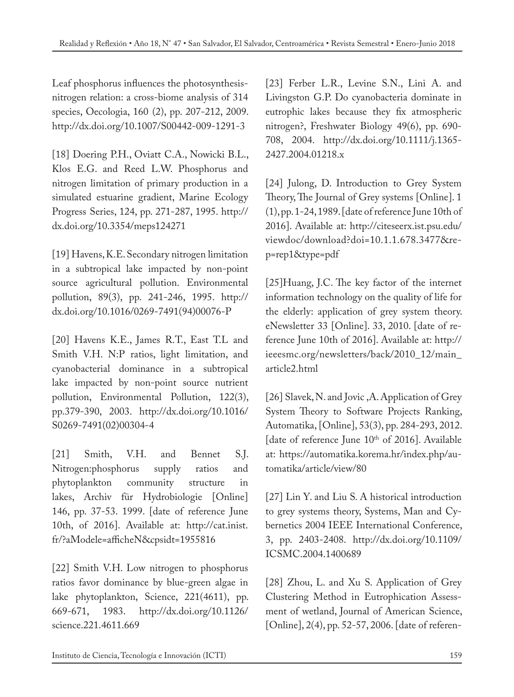Leaf phosphorus influences the photosynthesisnitrogen relation: a cross-biome analysis of 314 species, Oecologia, 160 (2), pp. 207-212, 2009. http://dx.doi.org/10.1007/S00442-009-1291-3

[18] Doering P.H., Oviatt C.A., Nowicki B.L., Klos E.G. and Reed L.W. Phosphorus and nitrogen limitation of primary production in a simulated estuarine gradient, Marine Ecology Progress Series, 124, pp. 271-287, 1995. http:// dx.doi.org/10.3354/meps124271

[19] Havens, K.E. Secondary nitrogen limitation in a subtropical lake impacted by non-point source agricultural pollution. Environmental pollution, 89(3), pp. 241-246, 1995. http:// dx.doi.org/10.1016/0269-7491(94)00076-P

[20] Havens K.E., James R.T., East T.L and Smith V.H. N:P ratios, light limitation, and cyanobacterial dominance in a subtropical lake impacted by non-point source nutrient pollution, Environmental Pollution, 122(3), pp.379-390, 2003. http://dx.doi.org/10.1016/ S0269-7491(02)00304-4

[21] Smith, V.H. and Bennet S.J. Nitrogen:phosphorus supply ratios and phytoplankton community structure in lakes, Archiv für Hydrobiologie [Online] 146, pp. 37-53. 1999. [date of reference June 10th, of 2016]. Available at: http://cat.inist. fr/?aModele=afficheN&cpsidt=1955816

[22] Smith V.H. Low nitrogen to phosphorus ratios favor dominance by blue-green algae in lake phytoplankton, Science, 221(4611), pp. 669-671, 1983. http://dx.doi.org/10.1126/ science.221.4611.669

[23] Ferber L.R., Levine S.N., Lini A. and Livingston G.P. Do cyanobacteria dominate in eutrophic lakes because they fix atmospheric nitrogen?, Freshwater Biology 49(6), pp. 690- 708, 2004. http://dx.doi.org/10.1111/j.1365- 2427.2004.01218.x

[24] Julong, D. Introduction to Grey System Theory, The Journal of Grey systems [Online]. 1 (1), pp. 1-24, 1989. [date of reference June 10th of 2016]. Available at: http://citeseerx.ist.psu.edu/ viewdoc/download?doi=10.1.1.678.3477&rep=rep1&type=pdf

[25]Huang, J.C. The key factor of the internet information technology on the quality of life for the elderly: application of grey system theory. eNewsletter 33 [Online]. 33, 2010. [date of reference June 10th of 2016]. Available at: http:// ieeesmc.org/newsletters/back/2010\_12/main\_ article2.html

[26] Slavek, N. and Jovic ,A. Application of Grey System Theory to Software Projects Ranking, Automatika, [Online], 53(3), pp. 284-293, 2012. [date of reference June 10<sup>th</sup> of 2016]. Available at: https://automatika.korema.hr/index.php/automatika/article/view/80

[27] Lin Y. and Liu S. A historical introduction to grey systems theory, Systems, Man and Cybernetics 2004 IEEE International Conference, 3, pp. 2403-2408. http://dx.doi.org/10.1109/ ICSMC.2004.1400689

[28] Zhou, L. and Xu S. Application of Grey Clustering Method in Eutrophication Assessment of wetland, Journal of American Science, [Online], 2(4), pp. 52-57, 2006. [date of referen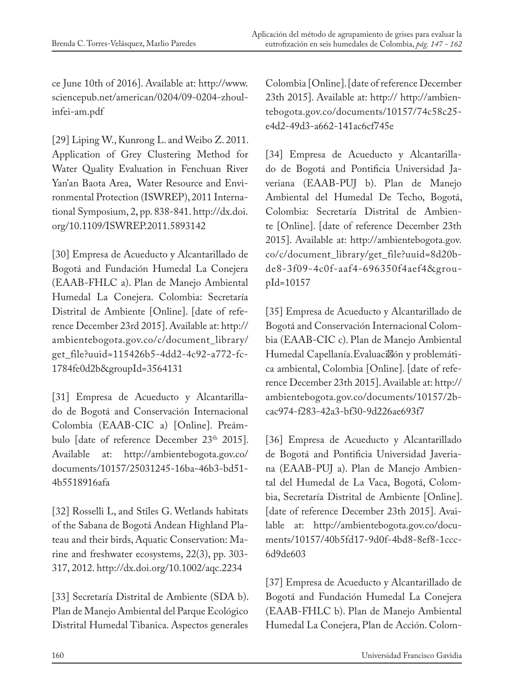ce June 10th of 2016]. Available at: http://www. sciencepub.net/american/0204/09-0204-zhoulinfei-am.pdf

[29] Liping W., Kunrong L. and Weibo Z. 2011. Application of Grey Clustering Method for Water Quality Evaluation in Fenchuan River Yan'an Baota Area, Water Resource and Environmental Protection (ISWREP), 2011 International Symposium, 2, pp. 838-841. http://dx.doi. org/10.1109/ISWREP.2011.5893142

[30] Empresa de Acueducto y Alcantarillado de Bogotá and Fundación Humedal La Conejera (EAAB-FHLC a). Plan de Manejo Ambiental Humedal La Conejera. Colombia: Secretaría Distrital de Ambiente [Online]. [date of reference December 23rd 2015]. Available at: http:// ambientebogota.gov.co/c/document\_library/ get\_file?uuid=115426b5-4dd2-4c92-a772-fc-1784fe0d2b&groupId=3564131

[31] Empresa de Acueducto y Alcantarillado de Bogotá and Conservación Internacional Colombia (EAAB-CIC a) [Online]. Preámbulo [date of reference December 23<sup>th</sup> 2015]. Available at: http://ambientebogota.gov.co/ documents/10157/25031245-16ba-46b3-bd51- 4b5518916afa

[32] Rosselli L, and Stiles G. Wetlands habitats of the Sabana de Bogotá Andean Highland Plateau and their birds, Aquatic Conservation: Marine and freshwater ecosystems, 22(3), pp. 303- 317, 2012. http://dx.doi.org/10.1002/aqc.2234

[33] Secretaría Distrital de Ambiente (SDA b). Plan de Manejo Ambiental del Parque Ecológico Distrital Humedal Tibanica. Aspectos generales

Colombia [Online]. [date of reference December 23th 2015]. Available at: http:// http://ambientebogota.gov.co/documents/10157/74c58c25 e4d2-49d3-a662-141ac6cf745e

[34] Empresa de Acueducto y Alcantarillado de Bogotá and Pontificia Universidad Javeriana (EAAB-PUJ b). Plan de Manejo Ambiental del Humedal De Techo, Bogotá, Colombia: Secretaría Distrital de Ambiente [Online]. [date of reference December 23th 2015]. Available at: http://ambientebogota.gov. co/c/document\_library/get\_file?uuid=8d20bde8-3f09-4c0f-aaf4-696350f4aef4&groupId=10157

[35] Empresa de Acueducto y Alcantarillado de Bogotá and Conservación Internacional Colombia (EAAB-CIC c). Plan de Manejo Ambiental Humedal Capellanía. Evaluación y problemática ambiental, Colombia [Online]. [date of reference December 23th 2015]. Available at: http:// ambientebogota.gov.co/documents/10157/2bcac974-f283-42a3-bf30-9d226ae693f7

[36] Empresa de Acueducto y Alcantarillado de Bogotá and Pontificia Universidad Javeriana (EAAB-PUJ a). Plan de Manejo Ambiental del Humedal de La Vaca, Bogotá, Colombia, Secretaría Distrital de Ambiente [Online]. [date of reference December 23th 2015]. Available at: http://ambientebogota.gov.co/documents/10157/40b5fd17-9d0f-4bd8-8ef8-1ccc-6d9de603

[37] Empresa de Acueducto y Alcantarillado de Bogotá and Fundación Humedal La Conejera (EAAB-FHLC b). Plan de Manejo Ambiental Humedal La Conejera, Plan de Acción. Colom-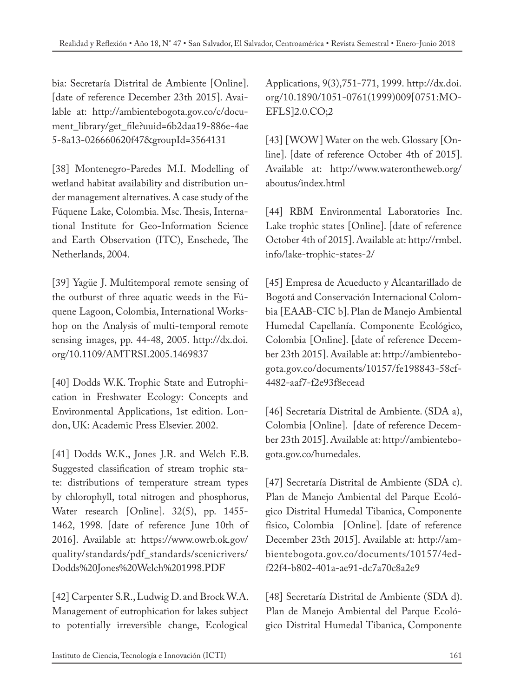bia: Secretaría Distrital de Ambiente [Online]. [date of reference December 23th 2015]. Available at: http://ambientebogota.gov.co/c/document\_library/get\_file?uuid=6b2daa19-886e-4ae 5-8a13-026660620f47&groupId=3564131

[38] Montenegro-Paredes M.I. Modelling of wetland habitat availability and distribution under management alternatives. A case study of the Fúquene Lake, Colombia. Msc. Thesis, International Institute for Geo-Information Science and Earth Observation (ITC), Enschede, The Netherlands, 2004.

[39] Yagüe J. Multitemporal remote sensing of the outburst of three aquatic weeds in the Fúquene Lagoon, Colombia, International Workshop on the Analysis of multi-temporal remote sensing images, pp. 44-48, 2005. http://dx.doi. org/10.1109/AMTRSI.2005.1469837

[40] Dodds W.K. Trophic State and Eutrophication in Freshwater Ecology: Concepts and Environmental Applications, 1st edition. London, UK: Academic Press Elsevier. 2002.

[41] Dodds W.K., Jones J.R. and Welch E.B. Suggested classification of stream trophic state: distributions of temperature stream types by chlorophyll, total nitrogen and phosphorus, Water research [Online]. 32(5), pp. 1455- 1462, 1998. [date of reference June 10th of 2016]. Available at: https://www.owrb.ok.gov/ quality/standards/pdf\_standards/scenicrivers/ Dodds%20Jones%20Welch%201998.PDF

[42] Carpenter S.R., Ludwig D. and Brock W.A. Management of eutrophication for lakes subject to potentially irreversible change, Ecological

Applications, 9(3),751-771, 1999. http://dx.doi. org/10.1890/1051-0761(1999)009[0751:MO-EFLS]2.0.CO;2

[43] [WOW] Water on the web. Glossary [Online]. [date of reference October 4th of 2015]. Available at: http://www.waterontheweb.org/ aboutus/index.html

[44] RBM Environmental Laboratories Inc. Lake trophic states [Online]. [date of reference October 4th of 2015]. Available at: http://rmbel. info/lake-trophic-states-2/

[45] Empresa de Acueducto y Alcantarillado de Bogotá and Conservación Internacional Colombia [EAAB-CIC b]. Plan de Manejo Ambiental Humedal Capellanía. Componente Ecológico, Colombia [Online]. [date of reference December 23th 2015]. Available at: http://ambientebogota.gov.co/documents/10157/fe198843-58cf-4482-aaf7-f2e93f8ecead

[46] Secretaría Distrital de Ambiente. (SDA a), Colombia [Online]. [date of reference December 23th 2015]. Available at: http://ambientebogota.gov.co/humedales.

[47] Secretaría Distrital de Ambiente (SDA c). Plan de Manejo Ambiental del Parque Ecológico Distrital Humedal Tibanica, Componente físico, Colombia [Online]. [date of reference December 23th 2015]. Available at: http://ambientebogota.gov.co/documents/10157/4edf22f4-b802-401a-ae91-dc7a70c8a2e9

[48] Secretaría Distrital de Ambiente (SDA d). Plan de Manejo Ambiental del Parque Ecológico Distrital Humedal Tibanica, Componente